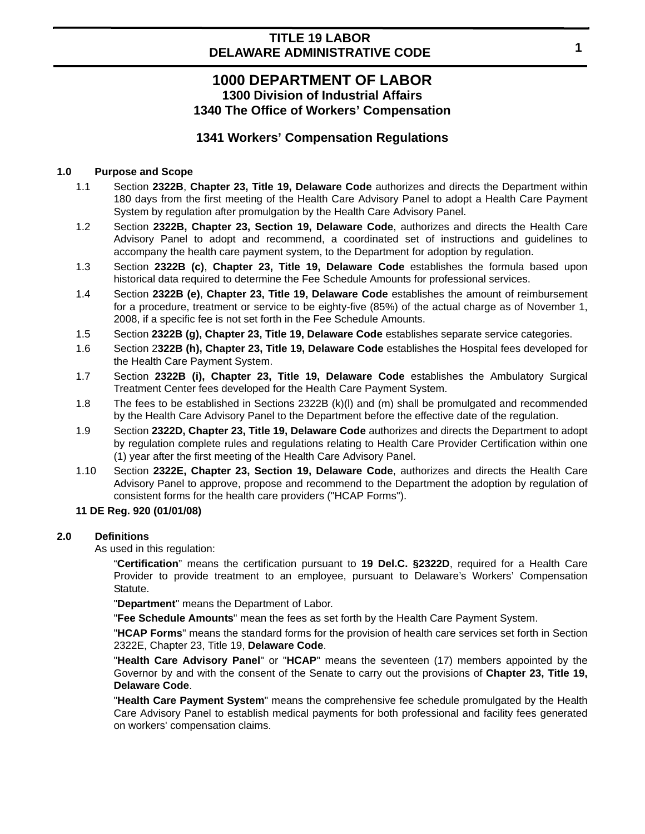# **1000 DEPARTMENT OF LABOR 1300 Division of Industrial Affairs 1340 The Office of Workers' Compensation**

## **1341 Workers' Compensation Regulations**

#### **1.0 Purpose and Scope**

- 1.1 Section **2322B**, **Chapter 23, Title 19, Delaware Code** authorizes and directs the Department within 180 days from the first meeting of the Health Care Advisory Panel to adopt a Health Care Payment System by regulation after promulgation by the Health Care Advisory Panel.
- 1.2 Section **2322B, Chapter 23, Section 19, Delaware Code**, authorizes and directs the Health Care Advisory Panel to adopt and recommend, a coordinated set of instructions and guidelines to accompany the health care payment system, to the Department for adoption by regulation.
- 1.3 Section **2322B (c)**, **Chapter 23, Title 19, Delaware Code** establishes the formula based upon historical data required to determine the Fee Schedule Amounts for professional services.
- 1.4 Section **2322B (e)**, **Chapter 23, Title 19, Delaware Code** establishes the amount of reimbursement for a procedure, treatment or service to be eighty-five (85%) of the actual charge as of November 1, 2008, if a specific fee is not set forth in the Fee Schedule Amounts.
- 1.5 Section **2322B (g), Chapter 23, Title 19, Delaware Code** establishes separate service categories.
- 1.6 Section 2**322B (h), Chapter 23, Title 19, Delaware Code** establishes the Hospital fees developed for the Health Care Payment System.
- 1.7 Section **2322B (i), Chapter 23, Title 19, Delaware Code** establishes the Ambulatory Surgical Treatment Center fees developed for the Health Care Payment System.
- 1.8 The fees to be established in Sections 2322B (k)(l) and (m) shall be promulgated and recommended by the Health Care Advisory Panel to the Department before the effective date of the regulation.
- 1.9 Section **2322D, Chapter 23, Title 19, Delaware Code** authorizes and directs the Department to adopt by regulation complete rules and regulations relating to Health Care Provider Certification within one (1) year after the first meeting of the Health Care Advisory Panel.
- 1.10 Section **2322E, Chapter 23, Section 19, Delaware Code**, authorizes and directs the Health Care Advisory Panel to approve, propose and recommend to the Department the adoption by regulation of consistent forms for the health care providers ("HCAP Forms").

#### **11 DE Reg. 920 (01/01/08)**

#### **2.0 Definitions**

As used in this regulation:

"**Certification**" means the certification pursuant to **19 Del.C. §2322D**, required for a Health Care Provider to provide treatment to an employee, pursuant to Delaware's Workers' Compensation Statute.

"**Department**" means the Department of Labor.

"**Fee Schedule Amounts**" mean the fees as set forth by the Health Care Payment System.

"**HCAP Forms**" means the standard forms for the provision of health care services set forth in Section 2322E, Chapter 23, Title 19, **Delaware Code**.

"**Health Care Advisory Panel**" or "**HCAP**" means the seventeen (17) members appointed by the Governor by and with the consent of the Senate to carry out the provisions of **Chapter 23, Title 19, Delaware Code**.

"**Health Care Payment System**" means the comprehensive fee schedule promulgated by the Health Care Advisory Panel to establish medical payments for both professional and facility fees generated on workers' compensation claims.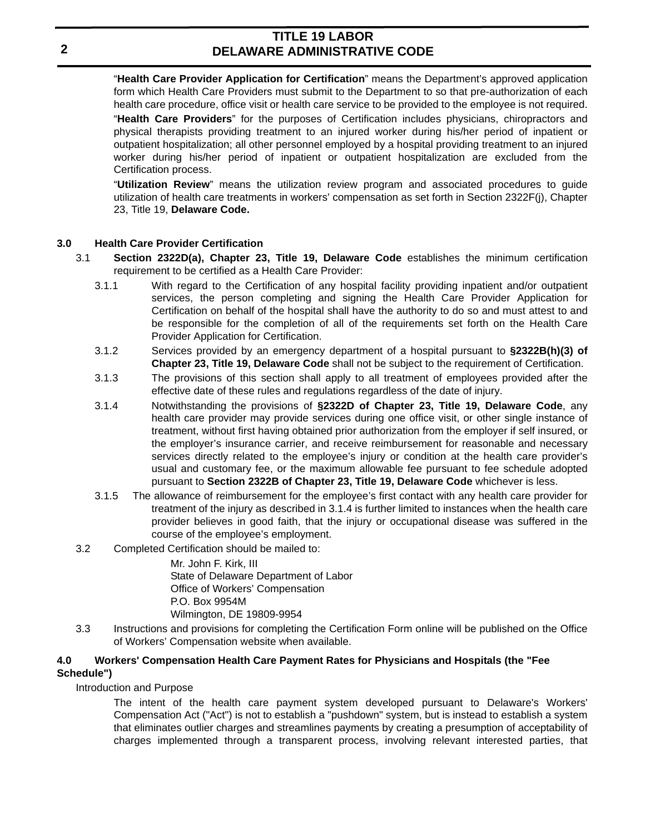"**Health Care Provider Application for Certification**" means the Department's approved application form which Health Care Providers must submit to the Department to so that pre-authorization of each health care procedure, office visit or health care service to be provided to the employee is not required.

"**Health Care Providers**" for the purposes of Certification includes physicians, chiropractors and physical therapists providing treatment to an injured worker during his/her period of inpatient or outpatient hospitalization; all other personnel employed by a hospital providing treatment to an injured worker during his/her period of inpatient or outpatient hospitalization are excluded from the Certification process.

"**Utilization Review**" means the utilization review program and associated procedures to guide utilization of health care treatments in workers' compensation as set forth in Section 2322F(j), Chapter 23, Title 19, **Delaware Code.**

#### **3.0 Health Care Provider Certification**

- 3.1 **Section 2322D(a), Chapter 23, Title 19, Delaware Code** establishes the minimum certification requirement to be certified as a Health Care Provider:
	- 3.1.1 With regard to the Certification of any hospital facility providing inpatient and/or outpatient services, the person completing and signing the Health Care Provider Application for Certification on behalf of the hospital shall have the authority to do so and must attest to and be responsible for the completion of all of the requirements set forth on the Health Care Provider Application for Certification.
	- 3.1.2 Services provided by an emergency department of a hospital pursuant to **§2322B(h)(3) of Chapter 23, Title 19, Delaware Code** shall not be subject to the requirement of Certification.
	- 3.1.3 The provisions of this section shall apply to all treatment of employees provided after the effective date of these rules and regulations regardless of the date of injury.
	- 3.1.4 Notwithstanding the provisions of **§2322D of Chapter 23, Title 19, Delaware Code**, any health care provider may provide services during one office visit, or other single instance of treatment, without first having obtained prior authorization from the employer if self insured, or the employer's insurance carrier, and receive reimbursement for reasonable and necessary services directly related to the employee's injury or condition at the health care provider's usual and customary fee, or the maximum allowable fee pursuant to fee schedule adopted pursuant to **Section 2322B of Chapter 23, Title 19, Delaware Code** whichever is less.
	- 3.1.5 The allowance of reimbursement for the employee's first contact with any health care provider for treatment of the injury as described in 3.1.4 is further limited to instances when the health care provider believes in good faith, that the injury or occupational disease was suffered in the course of the employee's employment.
- 3.2 Completed Certification should be mailed to:

Mr. John F. Kirk, III State of Delaware Department of Labor Office of Workers' Compensation P.O. Box 9954M Wilmington, DE 19809-9954

3.3 Instructions and provisions for completing the Certification Form online will be published on the Office of Workers' Compensation website when available.

#### **4.0 Workers' Compensation Health Care Payment Rates for Physicians and Hospitals (the "Fee Schedule")**

#### Introduction and Purpose

The intent of the health care payment system developed pursuant to Delaware's Workers' Compensation Act ("Act") is not to establish a "pushdown" system, but is instead to establish a system that eliminates outlier charges and streamlines payments by creating a presumption of acceptability of charges implemented through a transparent process, involving relevant interested parties, that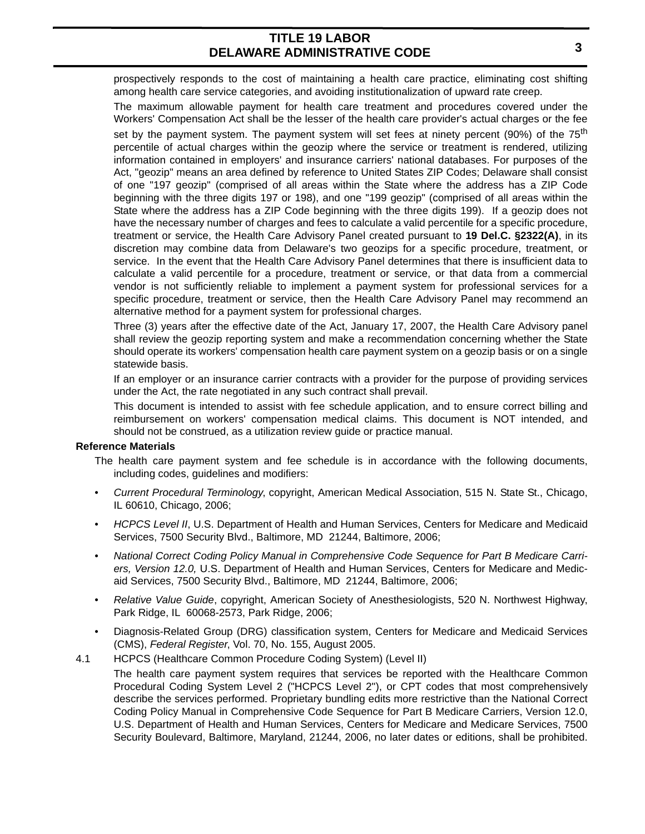prospectively responds to the cost of maintaining a health care practice, eliminating cost shifting among health care service categories, and avoiding institutionalization of upward rate creep.

The maximum allowable payment for health care treatment and procedures covered under the Workers' Compensation Act shall be the lesser of the health care provider's actual charges or the fee set by the payment system. The payment system will set fees at ninety percent (90%) of the  $75<sup>th</sup>$ percentile of actual charges within the geozip where the service or treatment is rendered, utilizing information contained in employers' and insurance carriers' national databases. For purposes of the Act, "geozip" means an area defined by reference to United States ZIP Codes; Delaware shall consist of one "197 geozip" (comprised of all areas within the State where the address has a ZIP Code beginning with the three digits 197 or 198), and one "199 geozip" (comprised of all areas within the State where the address has a ZIP Code beginning with the three digits 199). If a geozip does not have the necessary number of charges and fees to calculate a valid percentile for a specific procedure, treatment or service, the Health Care Advisory Panel created pursuant to **19 Del.C. §2322(A)**, in its discretion may combine data from Delaware's two geozips for a specific procedure, treatment, or service. In the event that the Health Care Advisory Panel determines that there is insufficient data to calculate a valid percentile for a procedure, treatment or service, or that data from a commercial vendor is not sufficiently reliable to implement a payment system for professional services for a specific procedure, treatment or service, then the Health Care Advisory Panel may recommend an alternative method for a payment system for professional charges.

Three (3) years after the effective date of the Act, January 17, 2007, the Health Care Advisory panel shall review the geozip reporting system and make a recommendation concerning whether the State should operate its workers' compensation health care payment system on a geozip basis or on a single statewide basis.

If an employer or an insurance carrier contracts with a provider for the purpose of providing services under the Act, the rate negotiated in any such contract shall prevail.

This document is intended to assist with fee schedule application, and to ensure correct billing and reimbursement on workers' compensation medical claims. This document is NOT intended, and should not be construed, as a utilization review guide or practice manual.

#### **Reference Materials**

- The health care payment system and fee schedule is in accordance with the following documents, including codes, guidelines and modifiers:
- *Current Procedural Terminology*, copyright, American Medical Association, 515 N. State St., Chicago, IL 60610, Chicago, 2006;
- *HCPCS Level II*, U.S. Department of Health and Human Services, Centers for Medicare and Medicaid Services, 7500 Security Blvd., Baltimore, MD 21244, Baltimore, 2006;
- *National Correct Coding Policy Manual in Comprehensive Code Sequence for Part B Medicare Carriers, Version 12.0,* U.S. Department of Health and Human Services, Centers for Medicare and Medicaid Services, 7500 Security Blvd., Baltimore, MD 21244, Baltimore, 2006;
- *Relative Value Guide*, copyright, American Society of Anesthesiologists, 520 N. Northwest Highway, Park Ridge, IL 60068-2573, Park Ridge, 2006;
- Diagnosis-Related Group (DRG) classification system, Centers for Medicare and Medicaid Services (CMS), *Federal Register*, Vol. 70, No. 155, August 2005.
- 4.1 HCPCS (Healthcare Common Procedure Coding System) (Level II)

The health care payment system requires that services be reported with the Healthcare Common Procedural Coding System Level 2 ("HCPCS Level 2"), or CPT codes that most comprehensively describe the services performed. Proprietary bundling edits more restrictive than the National Correct Coding Policy Manual in Comprehensive Code Sequence for Part B Medicare Carriers, Version 12.0, U.S. Department of Health and Human Services, Centers for Medicare and Medicare Services, 7500 Security Boulevard, Baltimore, Maryland, 21244, 2006, no later dates or editions, shall be prohibited.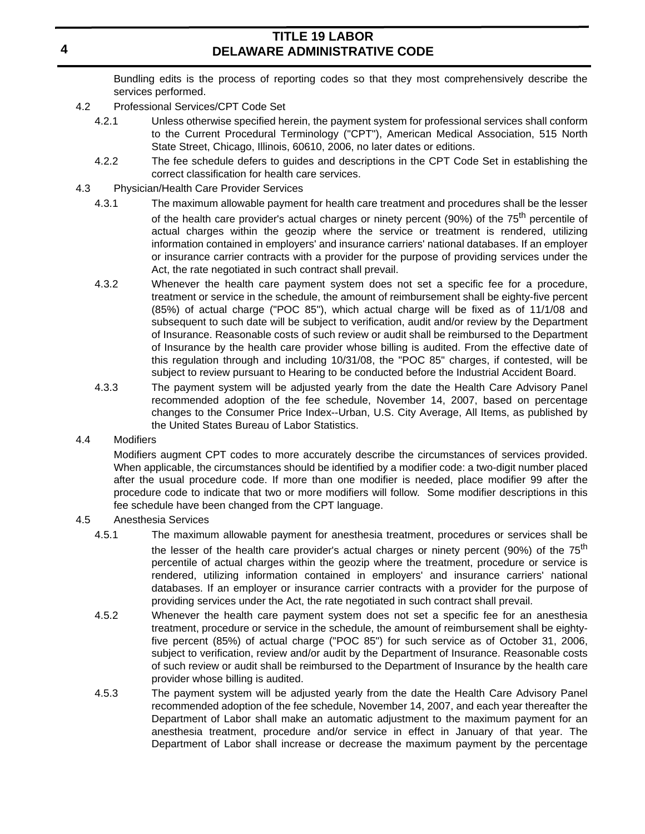Bundling edits is the process of reporting codes so that they most comprehensively describe the services performed.

- 4.2 Professional Services/CPT Code Set
	- 4.2.1 Unless otherwise specified herein, the payment system for professional services shall conform to the Current Procedural Terminology ("CPT"), American Medical Association, 515 North State Street, Chicago, Illinois, 60610, 2006, no later dates or editions.
	- 4.2.2 The fee schedule defers to guides and descriptions in the CPT Code Set in establishing the correct classification for health care services.
- 4.3 Physician/Health Care Provider Services
	- 4.3.1 The maximum allowable payment for health care treatment and procedures shall be the lesser of the health care provider's actual charges or ninety percent (90%) of the  $75<sup>th</sup>$  percentile of actual charges within the geozip where the service or treatment is rendered, utilizing information contained in employers' and insurance carriers' national databases. If an employer or insurance carrier contracts with a provider for the purpose of providing services under the Act, the rate negotiated in such contract shall prevail.
	- 4.3.2 Whenever the health care payment system does not set a specific fee for a procedure, treatment or service in the schedule, the amount of reimbursement shall be eighty-five percent (85%) of actual charge ("POC 85"), which actual charge will be fixed as of 11/1/08 and subsequent to such date will be subject to verification, audit and/or review by the Department of Insurance. Reasonable costs of such review or audit shall be reimbursed to the Department of Insurance by the health care provider whose billing is audited. From the effective date of this regulation through and including 10/31/08, the "POC 85" charges, if contested, will be subject to review pursuant to Hearing to be conducted before the Industrial Accident Board.
	- 4.3.3 The payment system will be adjusted yearly from the date the Health Care Advisory Panel recommended adoption of the fee schedule, November 14, 2007, based on percentage changes to the Consumer Price Index--Urban, U.S. City Average, All Items, as published by the United States Bureau of Labor Statistics.

#### 4.4 Modifiers

Modifiers augment CPT codes to more accurately describe the circumstances of services provided. When applicable, the circumstances should be identified by a modifier code: a two-digit number placed after the usual procedure code. If more than one modifier is needed, place modifier 99 after the procedure code to indicate that two or more modifiers will follow. Some modifier descriptions in this fee schedule have been changed from the CPT language.

#### 4.5 Anesthesia Services

- 4.5.1 The maximum allowable payment for anesthesia treatment, procedures or services shall be the lesser of the health care provider's actual charges or ninety percent (90%) of the  $75<sup>th</sup>$ percentile of actual charges within the geozip where the treatment, procedure or service is rendered, utilizing information contained in employers' and insurance carriers' national databases. If an employer or insurance carrier contracts with a provider for the purpose of providing services under the Act, the rate negotiated in such contract shall prevail.
- 4.5.2 Whenever the health care payment system does not set a specific fee for an anesthesia treatment, procedure or service in the schedule, the amount of reimbursement shall be eightyfive percent (85%) of actual charge ("POC 85") for such service as of October 31, 2006, subject to verification, review and/or audit by the Department of Insurance. Reasonable costs of such review or audit shall be reimbursed to the Department of Insurance by the health care provider whose billing is audited.
- 4.5.3 The payment system will be adjusted yearly from the date the Health Care Advisory Panel recommended adoption of the fee schedule, November 14, 2007, and each year thereafter the Department of Labor shall make an automatic adjustment to the maximum payment for an anesthesia treatment, procedure and/or service in effect in January of that year. The Department of Labor shall increase or decrease the maximum payment by the percentage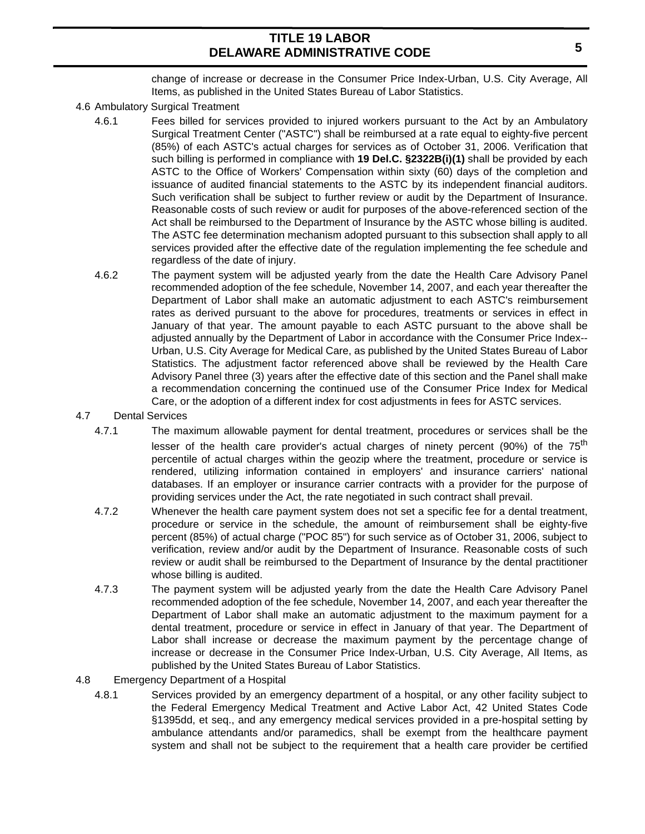change of increase or decrease in the Consumer Price Index-Urban, U.S. City Average, All Items, as published in the United States Bureau of Labor Statistics.

- 4.6 Ambulatory Surgical Treatment
	- 4.6.1 Fees billed for services provided to injured workers pursuant to the Act by an Ambulatory Surgical Treatment Center ("ASTC") shall be reimbursed at a rate equal to eighty-five percent (85%) of each ASTC's actual charges for services as of October 31, 2006. Verification that such billing is performed in compliance with **19 Del.C. §2322B(i)(1)** shall be provided by each ASTC to the Office of Workers' Compensation within sixty (60) days of the completion and issuance of audited financial statements to the ASTC by its independent financial auditors. Such verification shall be subject to further review or audit by the Department of Insurance. Reasonable costs of such review or audit for purposes of the above-referenced section of the Act shall be reimbursed to the Department of Insurance by the ASTC whose billing is audited. The ASTC fee determination mechanism adopted pursuant to this subsection shall apply to all services provided after the effective date of the regulation implementing the fee schedule and regardless of the date of injury.
	- 4.6.2 The payment system will be adjusted yearly from the date the Health Care Advisory Panel recommended adoption of the fee schedule, November 14, 2007, and each year thereafter the Department of Labor shall make an automatic adjustment to each ASTC's reimbursement rates as derived pursuant to the above for procedures, treatments or services in effect in January of that year. The amount payable to each ASTC pursuant to the above shall be adjusted annually by the Department of Labor in accordance with the Consumer Price Index-- Urban, U.S. City Average for Medical Care, as published by the United States Bureau of Labor Statistics. The adjustment factor referenced above shall be reviewed by the Health Care Advisory Panel three (3) years after the effective date of this section and the Panel shall make a recommendation concerning the continued use of the Consumer Price Index for Medical Care, or the adoption of a different index for cost adjustments in fees for ASTC services.
- 4.7 Dental Services
	- 4.7.1 The maximum allowable payment for dental treatment, procedures or services shall be the lesser of the health care provider's actual charges of ninety percent (90%) of the 75<sup>th</sup> percentile of actual charges within the geozip where the treatment, procedure or service is rendered, utilizing information contained in employers' and insurance carriers' national databases. If an employer or insurance carrier contracts with a provider for the purpose of providing services under the Act, the rate negotiated in such contract shall prevail.
	- 4.7.2 Whenever the health care payment system does not set a specific fee for a dental treatment, procedure or service in the schedule, the amount of reimbursement shall be eighty-five percent (85%) of actual charge ("POC 85") for such service as of October 31, 2006, subject to verification, review and/or audit by the Department of Insurance. Reasonable costs of such review or audit shall be reimbursed to the Department of Insurance by the dental practitioner whose billing is audited.
	- 4.7.3 The payment system will be adjusted yearly from the date the Health Care Advisory Panel recommended adoption of the fee schedule, November 14, 2007, and each year thereafter the Department of Labor shall make an automatic adjustment to the maximum payment for a dental treatment, procedure or service in effect in January of that year. The Department of Labor shall increase or decrease the maximum payment by the percentage change of increase or decrease in the Consumer Price Index-Urban, U.S. City Average, All Items, as published by the United States Bureau of Labor Statistics.
- 4.8 Emergency Department of a Hospital
	- 4.8.1 Services provided by an emergency department of a hospital, or any other facility subject to the Federal Emergency Medical Treatment and Active Labor Act, 42 United States Code §1395dd, et seq., and any emergency medical services provided in a pre-hospital setting by ambulance attendants and/or paramedics, shall be exempt from the healthcare payment system and shall not be subject to the requirement that a health care provider be certified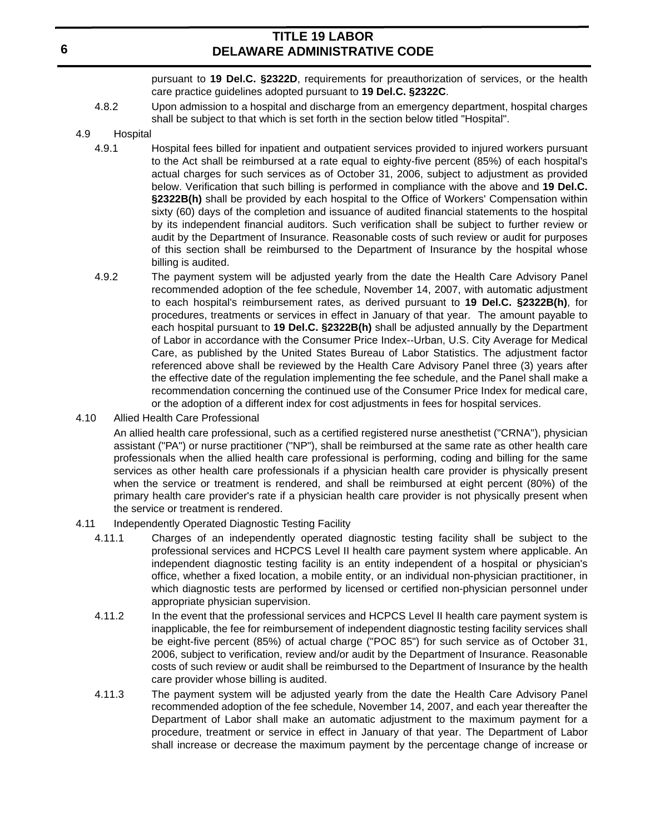pursuant to **19 Del.C. §2322D**, requirements for preauthorization of services, or the health care practice guidelines adopted pursuant to **19 Del.C. §2322C**.

- 4.8.2 Upon admission to a hospital and discharge from an emergency department, hospital charges shall be subject to that which is set forth in the section below titled "Hospital".
- 4.9 Hospital
	- 4.9.1 Hospital fees billed for inpatient and outpatient services provided to injured workers pursuant to the Act shall be reimbursed at a rate equal to eighty-five percent (85%) of each hospital's actual charges for such services as of October 31, 2006, subject to adjustment as provided below. Verification that such billing is performed in compliance with the above and **19 Del.C. §2322B(h)** shall be provided by each hospital to the Office of Workers' Compensation within sixty (60) days of the completion and issuance of audited financial statements to the hospital by its independent financial auditors. Such verification shall be subject to further review or audit by the Department of Insurance. Reasonable costs of such review or audit for purposes of this section shall be reimbursed to the Department of Insurance by the hospital whose billing is audited.
	- 4.9.2 The payment system will be adjusted yearly from the date the Health Care Advisory Panel recommended adoption of the fee schedule, November 14, 2007, with automatic adjustment to each hospital's reimbursement rates, as derived pursuant to **19 Del.C. §2322B(h)**, for procedures, treatments or services in effect in January of that year. The amount payable to each hospital pursuant to **19 Del.C. §2322B(h)** shall be adjusted annually by the Department of Labor in accordance with the Consumer Price Index--Urban, U.S. City Average for Medical Care, as published by the United States Bureau of Labor Statistics. The adjustment factor referenced above shall be reviewed by the Health Care Advisory Panel three (3) years after the effective date of the regulation implementing the fee schedule, and the Panel shall make a recommendation concerning the continued use of the Consumer Price Index for medical care, or the adoption of a different index for cost adjustments in fees for hospital services.
- 4.10 Allied Health Care Professional

An allied health care professional, such as a certified registered nurse anesthetist ("CRNA"), physician assistant ("PA") or nurse practitioner ("NP"), shall be reimbursed at the same rate as other health care professionals when the allied health care professional is performing, coding and billing for the same services as other health care professionals if a physician health care provider is physically present when the service or treatment is rendered, and shall be reimbursed at eight percent (80%) of the primary health care provider's rate if a physician health care provider is not physically present when the service or treatment is rendered.

- 4.11 Independently Operated Diagnostic Testing Facility
	- 4.11.1 Charges of an independently operated diagnostic testing facility shall be subject to the professional services and HCPCS Level II health care payment system where applicable. An independent diagnostic testing facility is an entity independent of a hospital or physician's office, whether a fixed location, a mobile entity, or an individual non-physician practitioner, in which diagnostic tests are performed by licensed or certified non-physician personnel under appropriate physician supervision.
	- 4.11.2 In the event that the professional services and HCPCS Level II health care payment system is inapplicable, the fee for reimbursement of independent diagnostic testing facility services shall be eight-five percent (85%) of actual charge ("POC 85") for such service as of October 31, 2006, subject to verification, review and/or audit by the Department of Insurance. Reasonable costs of such review or audit shall be reimbursed to the Department of Insurance by the health care provider whose billing is audited.
	- 4.11.3 The payment system will be adjusted yearly from the date the Health Care Advisory Panel recommended adoption of the fee schedule, November 14, 2007, and each year thereafter the Department of Labor shall make an automatic adjustment to the maximum payment for a procedure, treatment or service in effect in January of that year. The Department of Labor shall increase or decrease the maximum payment by the percentage change of increase or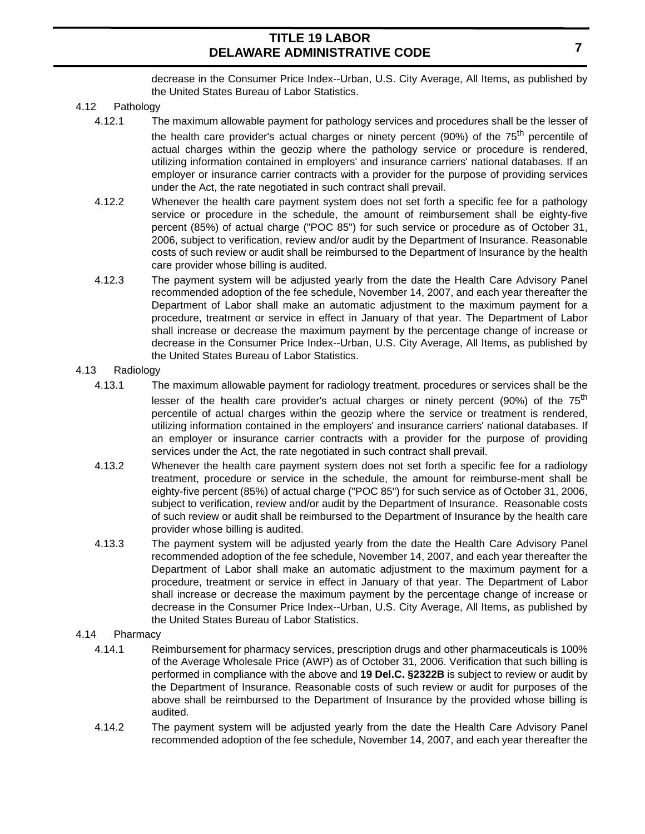decrease in the Consumer Price Index--Urban, U.S. City Average, All Items, as published by the United States Bureau of Labor Statistics.

- 4.12 Pathology
	- 4.12.1 The maximum allowable payment for pathology services and procedures shall be the lesser of the health care provider's actual charges or ninety percent (90%) of the  $75<sup>th</sup>$  percentile of actual charges within the geozip where the pathology service or procedure is rendered, utilizing information contained in employers' and insurance carriers' national databases. If an employer or insurance carrier contracts with a provider for the purpose of providing services under the Act, the rate negotiated in such contract shall prevail.
	- 4.12.2 Whenever the health care payment system does not set forth a specific fee for a pathology service or procedure in the schedule, the amount of reimbursement shall be eighty-five percent (85%) of actual charge ("POC 85") for such service or procedure as of October 31, 2006, subject to verification, review and/or audit by the Department of Insurance. Reasonable costs of such review or audit shall be reimbursed to the Department of Insurance by the health care provider whose billing is audited.
	- 4.12.3 The payment system will be adjusted yearly from the date the Health Care Advisory Panel recommended adoption of the fee schedule, November 14, 2007, and each year thereafter the Department of Labor shall make an automatic adjustment to the maximum payment for a procedure, treatment or service in effect in January of that year. The Department of Labor shall increase or decrease the maximum payment by the percentage change of increase or decrease in the Consumer Price Index--Urban, U.S. City Average, All Items, as published by the United States Bureau of Labor Statistics.
- 4.13 Radiology
	- 4.13.1 The maximum allowable payment for radiology treatment, procedures or services shall be the lesser of the health care provider's actual charges or ninety percent (90%) of the  $75<sup>th</sup>$ percentile of actual charges within the geozip where the service or treatment is rendered, utilizing information contained in the employers' and insurance carriers' national databases. If an employer or insurance carrier contracts with a provider for the purpose of providing services under the Act, the rate negotiated in such contract shall prevail.
	- 4.13.2 Whenever the health care payment system does not set forth a specific fee for a radiology treatment, procedure or service in the schedule, the amount for reimburse-ment shall be eighty-five percent (85%) of actual charge ("POC 85") for such service as of October 31, 2006, subject to verification, review and/or audit by the Department of Insurance. Reasonable costs of such review or audit shall be reimbursed to the Department of Insurance by the health care provider whose billing is audited.
	- 4.13.3 The payment system will be adjusted yearly from the date the Health Care Advisory Panel recommended adoption of the fee schedule, November 14, 2007, and each year thereafter the Department of Labor shall make an automatic adjustment to the maximum payment for a procedure, treatment or service in effect in January of that year. The Department of Labor shall increase or decrease the maximum payment by the percentage change of increase or decrease in the Consumer Price Index--Urban, U.S. City Average, All Items, as published by the United States Bureau of Labor Statistics.
- 4.14 Pharmacy
	- 4.14.1 Reimbursement for pharmacy services, prescription drugs and other pharmaceuticals is 100% of the Average Wholesale Price (AWP) as of October 31, 2006. Verification that such billing is performed in compliance with the above and **19 Del.C. §2322B** is subject to review or audit by the Department of Insurance. Reasonable costs of such review or audit for purposes of the above shall be reimbursed to the Department of Insurance by the provided whose billing is audited.
	- 4.14.2 The payment system will be adjusted yearly from the date the Health Care Advisory Panel recommended adoption of the fee schedule, November 14, 2007, and each year thereafter the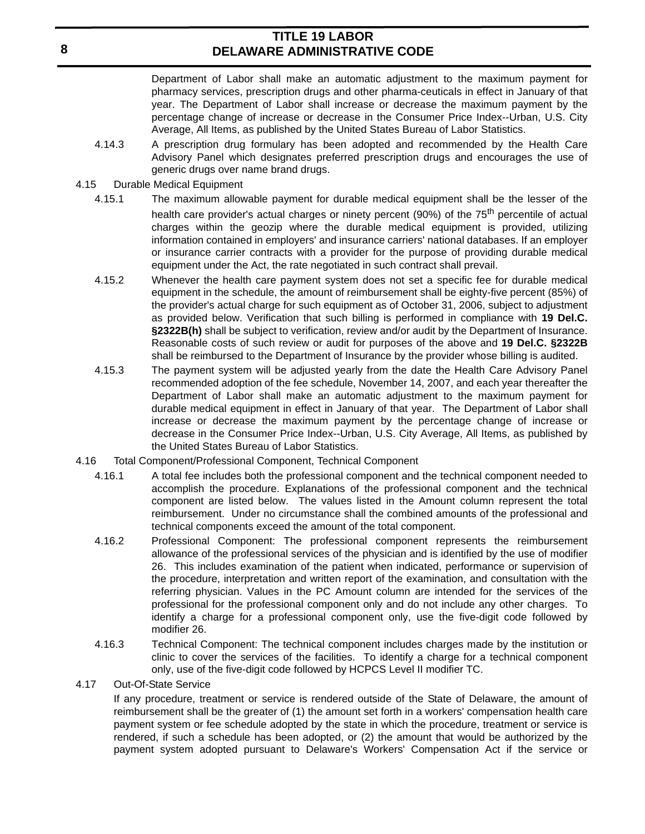Department of Labor shall make an automatic adjustment to the maximum payment for pharmacy services, prescription drugs and other pharma-ceuticals in effect in January of that year. The Department of Labor shall increase or decrease the maximum payment by the percentage change of increase or decrease in the Consumer Price Index--Urban, U.S. City Average, All Items, as published by the United States Bureau of Labor Statistics.

- 4.14.3 A prescription drug formulary has been adopted and recommended by the Health Care Advisory Panel which designates preferred prescription drugs and encourages the use of generic drugs over name brand drugs.
- 4.15 Durable Medical Equipment
	- 4.15.1 The maximum allowable payment for durable medical equipment shall be the lesser of the health care provider's actual charges or ninety percent (90%) of the 75<sup>th</sup> percentile of actual charges within the geozip where the durable medical equipment is provided, utilizing information contained in employers' and insurance carriers' national databases. If an employer or insurance carrier contracts with a provider for the purpose of providing durable medical equipment under the Act, the rate negotiated in such contract shall prevail.
	- 4.15.2 Whenever the health care payment system does not set a specific fee for durable medical equipment in the schedule, the amount of reimbursement shall be eighty-five percent (85%) of the provider's actual charge for such equipment as of October 31, 2006, subject to adjustment as provided below. Verification that such billing is performed in compliance with **19 Del.C. §2322B(h)** shall be subject to verification, review and/or audit by the Department of Insurance. Reasonable costs of such review or audit for purposes of the above and **19 Del.C. §2322B** shall be reimbursed to the Department of Insurance by the provider whose billing is audited.
	- 4.15.3 The payment system will be adjusted yearly from the date the Health Care Advisory Panel recommended adoption of the fee schedule, November 14, 2007, and each year thereafter the Department of Labor shall make an automatic adjustment to the maximum payment for durable medical equipment in effect in January of that year. The Department of Labor shall increase or decrease the maximum payment by the percentage change of increase or decrease in the Consumer Price Index--Urban, U.S. City Average, All Items, as published by the United States Bureau of Labor Statistics.
- 4.16 Total Component/Professional Component, Technical Component
	- 4.16.1 A total fee includes both the professional component and the technical component needed to accomplish the procedure. Explanations of the professional component and the technical component are listed below. The values listed in the Amount column represent the total reimbursement. Under no circumstance shall the combined amounts of the professional and technical components exceed the amount of the total component.
	- 4.16.2 Professional Component: The professional component represents the reimbursement allowance of the professional services of the physician and is identified by the use of modifier 26. This includes examination of the patient when indicated, performance or supervision of the procedure, interpretation and written report of the examination, and consultation with the referring physician. Values in the PC Amount column are intended for the services of the professional for the professional component only and do not include any other charges. To identify a charge for a professional component only, use the five-digit code followed by modifier 26.
	- 4.16.3 Technical Component: The technical component includes charges made by the institution or clinic to cover the services of the facilities. To identify a charge for a technical component only, use of the five-digit code followed by HCPCS Level II modifier TC.
- 4.17 Out-Of-State Service

If any procedure, treatment or service is rendered outside of the State of Delaware, the amount of reimbursement shall be the greater of (1) the amount set forth in a workers' compensation health care payment system or fee schedule adopted by the state in which the procedure, treatment or service is rendered, if such a schedule has been adopted, or (2) the amount that would be authorized by the payment system adopted pursuant to Delaware's Workers' Compensation Act if the service or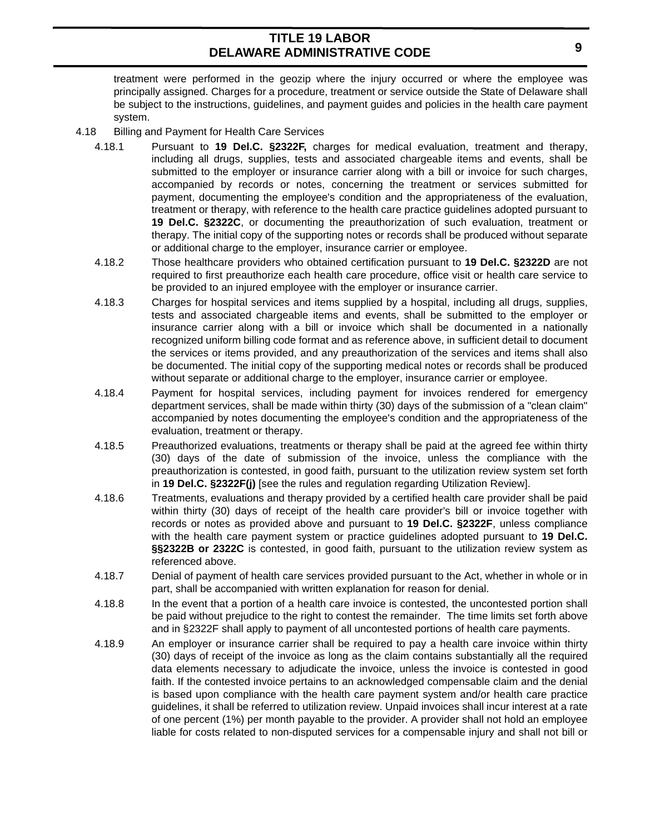treatment were performed in the geozip where the injury occurred or where the employee was principally assigned. Charges for a procedure, treatment or service outside the State of Delaware shall be subject to the instructions, guidelines, and payment guides and policies in the health care payment system.

- 4.18 Billing and Payment for Health Care Services
	- 4.18.1 Pursuant to **19 Del.C. §2322F,** charges for medical evaluation, treatment and therapy, including all drugs, supplies, tests and associated chargeable items and events, shall be submitted to the employer or insurance carrier along with a bill or invoice for such charges, accompanied by records or notes, concerning the treatment or services submitted for payment, documenting the employee's condition and the appropriateness of the evaluation, treatment or therapy, with reference to the health care practice guidelines adopted pursuant to **19 Del.C. §2322C**, or documenting the preauthorization of such evaluation, treatment or therapy. The initial copy of the supporting notes or records shall be produced without separate or additional charge to the employer, insurance carrier or employee.
	- 4.18.2 Those healthcare providers who obtained certification pursuant to **19 Del.C. §2322D** are not required to first preauthorize each health care procedure, office visit or health care service to be provided to an injured employee with the employer or insurance carrier.
	- 4.18.3 Charges for hospital services and items supplied by a hospital, including all drugs, supplies, tests and associated chargeable items and events, shall be submitted to the employer or insurance carrier along with a bill or invoice which shall be documented in a nationally recognized uniform billing code format and as reference above, in sufficient detail to document the services or items provided, and any preauthorization of the services and items shall also be documented. The initial copy of the supporting medical notes or records shall be produced without separate or additional charge to the employer, insurance carrier or employee.
	- 4.18.4 Payment for hospital services, including payment for invoices rendered for emergency department services, shall be made within thirty (30) days of the submission of a "clean claim" accompanied by notes documenting the employee's condition and the appropriateness of the evaluation, treatment or therapy.
	- 4.18.5 Preauthorized evaluations, treatments or therapy shall be paid at the agreed fee within thirty (30) days of the date of submission of the invoice, unless the compliance with the preauthorization is contested, in good faith, pursuant to the utilization review system set forth in **19 Del.C. §2322F(j)** [see the rules and regulation regarding Utilization Review].
	- 4.18.6 Treatments, evaluations and therapy provided by a certified health care provider shall be paid within thirty (30) days of receipt of the health care provider's bill or invoice together with records or notes as provided above and pursuant to **19 Del.C. §2322F**, unless compliance with the health care payment system or practice guidelines adopted pursuant to **19 Del.C. §§2322B or 2322C** is contested, in good faith, pursuant to the utilization review system as referenced above.
	- 4.18.7 Denial of payment of health care services provided pursuant to the Act, whether in whole or in part, shall be accompanied with written explanation for reason for denial.
	- 4.18.8 In the event that a portion of a health care invoice is contested, the uncontested portion shall be paid without prejudice to the right to contest the remainder. The time limits set forth above and in §2322F shall apply to payment of all uncontested portions of health care payments.
	- 4.18.9 An employer or insurance carrier shall be required to pay a health care invoice within thirty (30) days of receipt of the invoice as long as the claim contains substantially all the required data elements necessary to adjudicate the invoice, unless the invoice is contested in good faith. If the contested invoice pertains to an acknowledged compensable claim and the denial is based upon compliance with the health care payment system and/or health care practice guidelines, it shall be referred to utilization review. Unpaid invoices shall incur interest at a rate of one percent (1%) per month payable to the provider. A provider shall not hold an employee liable for costs related to non-disputed services for a compensable injury and shall not bill or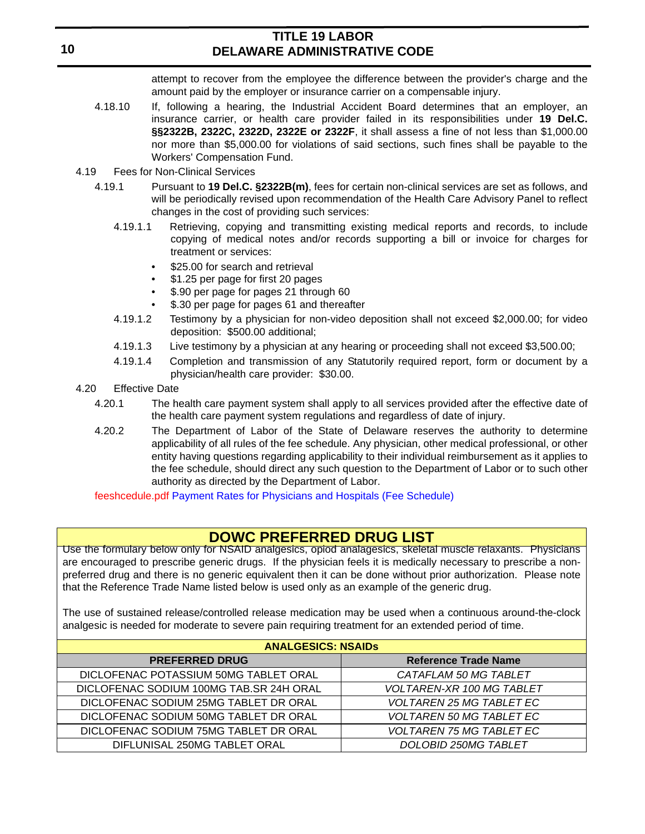attempt to recover from the employee the difference between the provider's charge and the amount paid by the employer or insurance carrier on a compensable injury.

- 4.18.10 If, following a hearing, the Industrial Accident Board determines that an employer, an insurance carrier, or health care provider failed in its responsibilities under **19 Del.C. §§2322B, 2322C, 2322D, 2322E or 2322F**, it shall assess a fine of not less than \$1,000.00 nor more than \$5,000.00 for violations of said sections, such fines shall be payable to the Workers' Compensation Fund.
- 4.19 Fees for Non-Clinical Services
	- 4.19.1 Pursuant to **19 Del.C. §2322B(m)**, fees for certain non-clinical services are set as follows, and will be periodically revised upon recommendation of the Health Care Advisory Panel to reflect changes in the cost of providing such services:
		- 4.19.1.1 Retrieving, copying and transmitting existing medical reports and records, to include copying of medical notes and/or records supporting a bill or invoice for charges for treatment or services:
			- \$25.00 for search and retrieval
			- \$1.25 per page for first 20 pages
			- \$.90 per page for pages 21 through 60
			- \$.30 per page for pages 61 and thereafter
		- 4.19.1.2 Testimony by a physician for non-video deposition shall not exceed \$2,000.00; for video deposition: \$500.00 additional;
		- 4.19.1.3 Live testimony by a physician at any hearing or proceeding shall not exceed \$3,500.00;
		- 4.19.1.4 Completion and transmission of any Statutorily required report, form or document by a physician/health care provider: \$30.00.
- 4.20 Effective Date
	- 4.20.1 The health care payment system shall apply to all services provided after the effective date of the health care payment system regulations and regardless of date of injury.
	- 4.20.2 The Department of Labor of the State of Delaware reserves the authority to determine applicability of all rules of the fee schedule. Any physician, other medical professional, or other entity having questions regarding applicability to their individual reimbursement as it applies to the fee schedule, should direct any such question to the Department of Labor or to such other authority as directed by the Department of Labor.

feeshcedule.pdf Payment Rates for Physicians and Hospitals (Fee Schedule)

## **DOWC PREFERRED DRUG LIST**

Use the formulary below only for NSAID analgesics, opiod analagesics, skeletal muscle relaxants. Physicians are encouraged to prescribe generic drugs. If the physician feels it is medically necessary to prescribe a nonpreferred drug and there is no generic equivalent then it can be done without prior authorization. Please note that the Reference Trade Name listed below is used only as an example of the generic drug.

The use of sustained release/controlled release medication may be used when a continuous around-the-clock analgesic is needed for moderate to severe pain requiring treatment for an extended period of time.

| <b>ANALGESICS: NSAIDS</b>               |                                  |  |  |  |
|-----------------------------------------|----------------------------------|--|--|--|
| <b>PREFERRED DRUG</b>                   | <b>Reference Trade Name</b>      |  |  |  |
| DICLOFENAC POTASSIUM 50MG TABLET ORAL   | CATAFLAM 50 MG TABLET            |  |  |  |
| DICLOFENAC SODIUM 100MG TAB.SR 24H ORAL | <b>VOLTAREN-XR 100 MG TABLET</b> |  |  |  |
| DICLOFENAC SODIUM 25MG TABLET DR ORAL   | <b>VOLTAREN 25 MG TABLET EC</b>  |  |  |  |
| DICLOFENAC SODIUM 50MG TABLET DR ORAL   | <b>VOLTAREN 50 MG TABLET EC</b>  |  |  |  |
| DICLOFENAC SODIUM 75MG TABLET DR ORAL   | <b>VOLTAREN 75 MG TABLET EC</b>  |  |  |  |
| DIFLUNISAL 250MG TABLET ORAL            | <b>DOLOBID 250MG TABLET</b>      |  |  |  |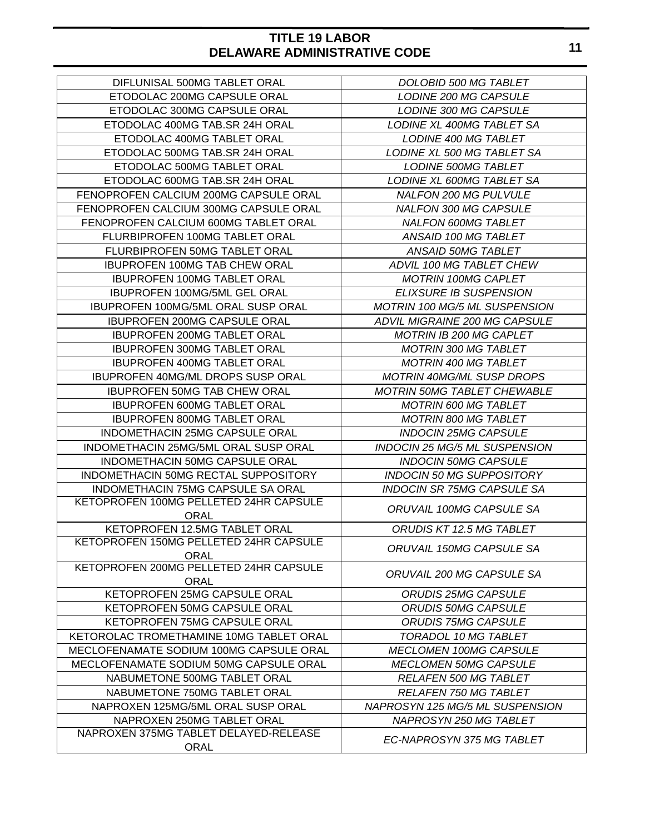| DIFLUNISAL 500MG TABLET ORAL                   | DOLOBID 500 MG TABLET                |  |  |
|------------------------------------------------|--------------------------------------|--|--|
| ETODOLAC 200MG CAPSULE ORAL                    | LODINE 200 MG CAPSULE                |  |  |
| ETODOLAC 300MG CAPSULE ORAL                    | LODINE 300 MG CAPSULE                |  |  |
| ETODOLAC 400MG TAB.SR 24H ORAL                 | LODINE XL 400MG TABLET SA            |  |  |
| ETODOLAC 400MG TABLET ORAL                     | <b>LODINE 400 MG TABLET</b>          |  |  |
| ETODOLAC 500MG TAB.SR 24H ORAL                 | LODINE XL 500 MG TABLET SA           |  |  |
| ETODOLAC 500MG TABLET ORAL                     | <b>LODINE 500MG TABLET</b>           |  |  |
| ETODOLAC 600MG TAB.SR 24H ORAL                 | LODINE XL 600MG TABLET SA            |  |  |
| FENOPROFEN CALCIUM 200MG CAPSULE ORAL          | <b>NALFON 200 MG PULVULE</b>         |  |  |
| FENOPROFEN CALCIUM 300MG CAPSULE ORAL          | <b>NALFON 300 MG CAPSULE</b>         |  |  |
| FENOPROFEN CALCIUM 600MG TABLET ORAL           | NALFON 600MG TABLET                  |  |  |
| FLURBIPROFEN 100MG TABLET ORAL                 | ANSAID 100 MG TABLET                 |  |  |
| FLURBIPROFEN 50MG TABLET ORAL                  | ANSAID 50MG TABLET                   |  |  |
| <b>IBUPROFEN 100MG TAB CHEW ORAL</b>           | ADVIL 100 MG TABLET CHEW             |  |  |
| <b>IBUPROFEN 100MG TABLET ORAL</b>             | <b>MOTRIN 100MG CAPLET</b>           |  |  |
| IBUPROFEN 100MG/5ML GEL ORAL                   | <b>ELIXSURE IB SUSPENSION</b>        |  |  |
| <b>IBUPROFEN 100MG/5ML ORAL SUSP ORAL</b>      | <b>MOTRIN 100 MG/5 ML SUSPENSION</b> |  |  |
| <b>IBUPROFEN 200MG CAPSULE ORAL</b>            | ADVIL MIGRAINE 200 MG CAPSULE        |  |  |
| <b>IBUPROFEN 200MG TABLET ORAL</b>             | <b>MOTRIN IB 200 MG CAPLET</b>       |  |  |
| <b>IBUPROFEN 300MG TABLET ORAL</b>             | <b>MOTRIN 300 MG TABLET</b>          |  |  |
| <b>IBUPROFEN 400MG TABLET ORAL</b>             | <b>MOTRIN 400 MG TABLET</b>          |  |  |
| IBUPROFEN 40MG/ML DROPS SUSP ORAL              | <b>MOTRIN 40MG/ML SUSP DROPS</b>     |  |  |
| <b>IBUPROFEN 50MG TAB CHEW ORAL</b>            | <b>MOTRIN 50MG TABLET CHEWABLE</b>   |  |  |
| <b>IBUPROFEN 600MG TABLET ORAL</b>             | <b>MOTRIN 600 MG TABLET</b>          |  |  |
| <b>IBUPROFEN 800MG TABLET ORAL</b>             | <b>MOTRIN 800 MG TABLET</b>          |  |  |
| INDOMETHACIN 25MG CAPSULE ORAL                 | <b>INDOCIN 25MG CAPSULE</b>          |  |  |
| INDOMETHACIN 25MG/5ML ORAL SUSP ORAL           | INDOCIN 25 MG/5 ML SUSPENSION        |  |  |
| INDOMETHACIN 50MG CAPSULE ORAL                 | <b>INDOCIN 50MG CAPSULE</b>          |  |  |
| INDOMETHACIN 50MG RECTAL SUPPOSITORY           | <b>INDOCIN 50 MG SUPPOSITORY</b>     |  |  |
| INDOMETHACIN 75MG CAPSULE SA ORAL              | <b>INDOCIN SR 75MG CAPSULE SA</b>    |  |  |
| KETOPROFEN 100MG PELLETED 24HR CAPSULE         |                                      |  |  |
| <b>ORAL</b>                                    | <b>ORUVAIL 100MG CAPSULE SA</b>      |  |  |
| KETOPROFEN 12.5MG TABLET ORAL                  | ORUDIS KT 12.5 MG TABLET             |  |  |
| KETOPROFEN 150MG PELLETED 24HR CAPSULE<br>ORAL | <b>ORUVAIL 150MG CAPSULE SA</b>      |  |  |
| KETOPROFEN 200MG PELLETED 24HR CAPSULE<br>ORAL | ORUVAIL 200 MG CAPSULE SA            |  |  |
| KETOPROFEN 25MG CAPSULE ORAL                   | <b>ORUDIS 25MG CAPSULE</b>           |  |  |
| KETOPROFEN 50MG CAPSULE ORAL                   | <b>ORUDIS 50MG CAPSULE</b>           |  |  |
| KETOPROFEN 75MG CAPSULE ORAL                   | <b>ORUDIS 75MG CAPSULE</b>           |  |  |
| KETOROLAC TROMETHAMINE 10MG TABLET ORAL        | TORADOL 10 MG TABLET                 |  |  |
| MECLOFENAMATE SODIUM 100MG CAPSULE ORAL        | <b>MECLOMEN 100MG CAPSULE</b>        |  |  |
| MECLOFENAMATE SODIUM 50MG CAPSULE ORAL         | <b>MECLOMEN 50MG CAPSULE</b>         |  |  |
| NABUMETONE 500MG TABLET ORAL                   | <b>RELAFEN 500 MG TABLET</b>         |  |  |
| NABUMETONE 750MG TABLET ORAL                   | <b>RELAFEN 750 MG TABLET</b>         |  |  |
| NAPROXEN 125MG/5ML ORAL SUSP ORAL              | NAPROSYN 125 MG/5 ML SUSPENSION      |  |  |
| NAPROXEN 250MG TABLET ORAL                     | NAPROSYN 250 MG TABLET               |  |  |
| NAPROXEN 375MG TABLET DELAYED-RELEASE          | EC-NAPROSYN 375 MG TABLET            |  |  |
| ORAL                                           |                                      |  |  |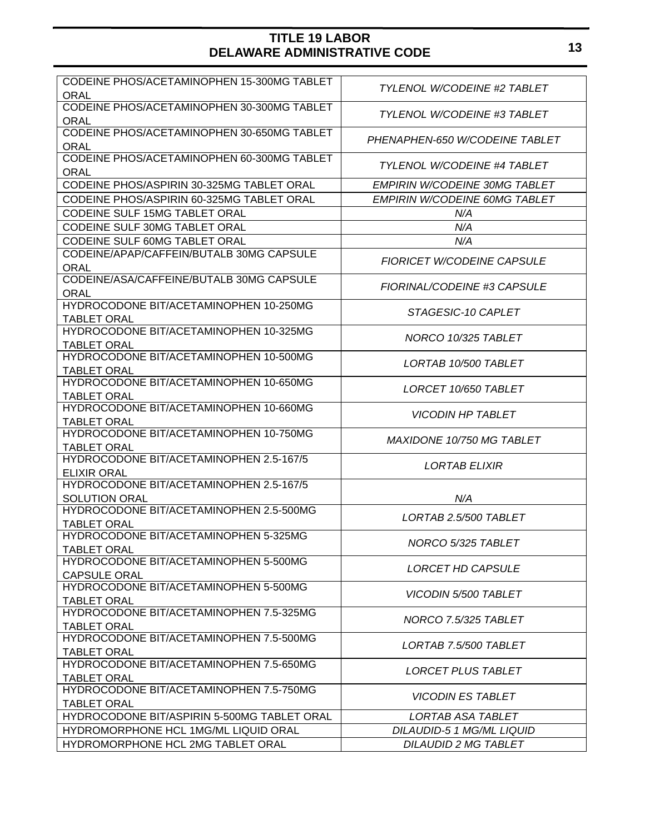| CODEINE PHOS/ACETAMINOPHEN 15-300MG TABLET                      |                                      |  |  |
|-----------------------------------------------------------------|--------------------------------------|--|--|
| ORAL                                                            | <b>TYLENOL W/CODEINE #2 TABLET</b>   |  |  |
| CODEINE PHOS/ACETAMINOPHEN 30-300MG TABLET                      | <b>TYLENOL W/CODEINE #3 TABLET</b>   |  |  |
| <b>ORAL</b>                                                     |                                      |  |  |
| CODEINE PHOS/ACETAMINOPHEN 30-650MG TABLET                      | PHENAPHEN-650 W/CODEINE TABLET       |  |  |
| <b>ORAL</b>                                                     |                                      |  |  |
| CODEINE PHOS/ACETAMINOPHEN 60-300MG TABLET                      | TYLENOL W/CODEINE #4 TABLET          |  |  |
| <b>ORAL</b>                                                     |                                      |  |  |
| CODEINE PHOS/ASPIRIN 30-325MG TABLET ORAL                       | <b>EMPIRIN W/CODEINE 30MG TABLET</b> |  |  |
| CODEINE PHOS/ASPIRIN 60-325MG TABLET ORAL                       | <b>EMPIRIN W/CODEINE 60MG TABLET</b> |  |  |
| CODEINE SULF 15MG TABLET ORAL                                   | N/A                                  |  |  |
| CODEINE SULF 30MG TABLET ORAL                                   | N/A                                  |  |  |
| CODEINE SULF 60MG TABLET ORAL                                   | N/A                                  |  |  |
| CODEINE/APAP/CAFFEIN/BUTALB 30MG CAPSULE                        |                                      |  |  |
| <b>ORAL</b>                                                     | <b>FIORICET W/CODEINE CAPSULE</b>    |  |  |
| CODEINE/ASA/CAFFEINE/BUTALB 30MG CAPSULE                        |                                      |  |  |
| <b>ORAL</b>                                                     | FIORINAL/CODEINE #3 CAPSULE          |  |  |
| HYDROCODONE BIT/ACETAMINOPHEN 10-250MG                          |                                      |  |  |
| <b>TABLET ORAL</b>                                              | STAGESIC-10 CAPLET                   |  |  |
| HYDROCODONE BIT/ACETAMINOPHEN 10-325MG                          | NORCO 10/325 TABLET                  |  |  |
| <b>TABLET ORAL</b>                                              |                                      |  |  |
| HYDROCODONE BIT/ACETAMINOPHEN 10-500MG                          | LORTAB 10/500 TABLET                 |  |  |
| <b>TABLET ORAL</b>                                              |                                      |  |  |
| HYDROCODONE BIT/ACETAMINOPHEN 10-650MG                          | LORCET 10/650 TABLET                 |  |  |
| <b>TABLET ORAL</b>                                              |                                      |  |  |
| HYDROCODONE BIT/ACETAMINOPHEN 10-660MG                          | <b>VICODIN HP TABLET</b>             |  |  |
| <b>TABLET ORAL</b>                                              |                                      |  |  |
| HYDROCODONE BIT/ACETAMINOPHEN 10-750MG                          | MAXIDONE 10/750 MG TABLET            |  |  |
| <b>TABLET ORAL</b>                                              |                                      |  |  |
| HYDROCODONE BIT/ACETAMINOPHEN 2.5-167/5                         | <b>LORTAB ELIXIR</b>                 |  |  |
| <b>ELIXIR ORAL</b><br>HYDROCODONE BIT/ACETAMINOPHEN 2.5-167/5   |                                      |  |  |
|                                                                 |                                      |  |  |
| <b>SOLUTION ORAL</b><br>HYDROCODONE BIT/ACETAMINOPHEN 2.5-500MG | N/A                                  |  |  |
| <b>TABLET ORAL</b>                                              | LORTAB 2.5/500 TABLET                |  |  |
| HYDROCODONE BIT/ACETAMINOPHEN 5-325MG                           |                                      |  |  |
| TABLET ORAL                                                     | NORCO 5/325 TABLET                   |  |  |
| HYDROCODONE BIT/ACETAMINOPHEN 5-500MG                           |                                      |  |  |
| <b>CAPSULE ORAL</b>                                             | LORCET HD CAPSULE                    |  |  |
| HYDROCODONE BIT/ACETAMINOPHEN 5-500MG                           |                                      |  |  |
| <b>TABLET ORAL</b>                                              | <b>VICODIN 5/500 TABLET</b>          |  |  |
| HYDROCODONE BIT/ACETAMINOPHEN 7.5-325MG                         |                                      |  |  |
| <b>TABLET ORAL</b>                                              | NORCO 7.5/325 TABLET                 |  |  |
| HYDROCODONE BIT/ACETAMINOPHEN 7.5-500MG                         |                                      |  |  |
| <b>TABLET ORAL</b>                                              | LORTAB 7.5/500 TABLET                |  |  |
| HYDROCODONE BIT/ACETAMINOPHEN 7.5-650MG                         |                                      |  |  |
| <b>TABLET ORAL</b>                                              | LORCET PLUS TABLET                   |  |  |
| HYDROCODONE BIT/ACETAMINOPHEN 7.5-750MG                         |                                      |  |  |
| <b>TABLET ORAL</b>                                              | <i><b>VICODIN ES TABLET</b></i>      |  |  |
| HYDROCODONE BIT/ASPIRIN 5-500MG TABLET ORAL                     | LORTAB ASA TABLET                    |  |  |
| HYDROMORPHONE HCL 1MG/ML LIQUID ORAL                            | DILAUDID-5 1 MG/ML LIQUID            |  |  |
| HYDROMORPHONE HCL 2MG TABLET ORAL                               | <b>DILAUDID 2 MG TABLET</b>          |  |  |
|                                                                 |                                      |  |  |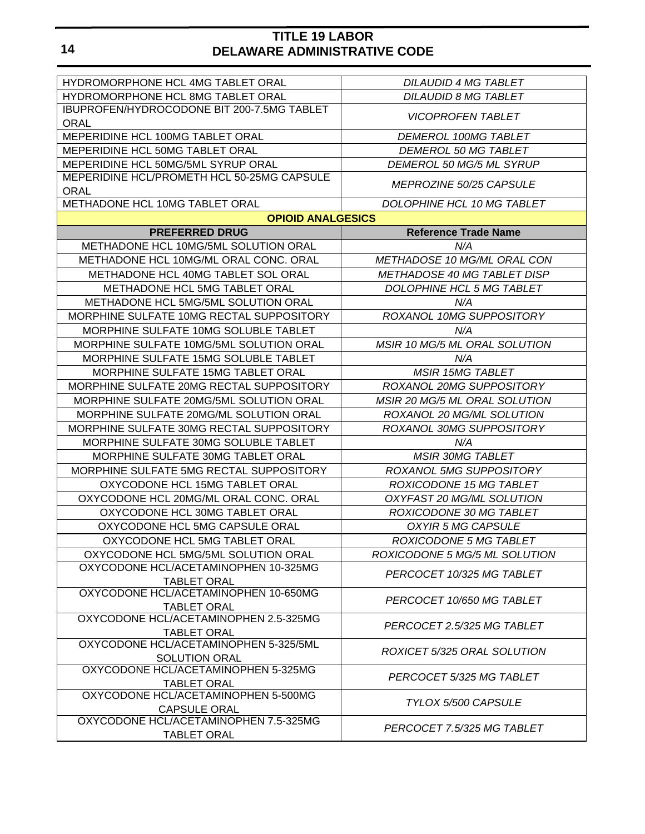| HYDROMORPHONE HCL 4MG TABLET ORAL                             | <b>DILAUDID 4 MG TABLET</b>        |  |  |
|---------------------------------------------------------------|------------------------------------|--|--|
| HYDROMORPHONE HCL 8MG TABLET ORAL                             | <b>DILAUDID 8 MG TABLET</b>        |  |  |
| IBUPROFEN/HYDROCODONE BIT 200-7.5MG TABLET                    |                                    |  |  |
| <b>ORAL</b>                                                   | <b>VICOPROFEN TABLET</b>           |  |  |
| MEPERIDINE HCL 100MG TABLET ORAL                              | <b>DEMEROL 100MG TABLET</b>        |  |  |
| MEPERIDINE HCL 50MG TABLET ORAL                               | <b>DEMEROL 50 MG TABLET</b>        |  |  |
| MEPERIDINE HCL 50MG/5ML SYRUP ORAL                            | DEMEROL 50 MG/5 ML SYRUP           |  |  |
| MEPERIDINE HCL/PROMETH HCL 50-25MG CAPSULE                    | <i>MEPROZINE 50/25 CAPSULE</i>     |  |  |
| <b>ORAL</b><br>METHADONE HCL 10MG TABLET ORAL                 |                                    |  |  |
| <b>OPIOID ANALGESICS</b>                                      | DOLOPHINE HCL 10 MG TABLET         |  |  |
| <b>PREFERRED DRUG</b>                                         |                                    |  |  |
| METHADONE HCL 10MG/5ML SOLUTION ORAL                          | <b>Reference Trade Name</b><br>N/A |  |  |
|                                                               |                                    |  |  |
| METHADONE HCL 10MG/ML ORAL CONC. ORAL                         | METHADOSE 10 MG/ML ORAL CON        |  |  |
| METHADONE HCL 40MG TABLET SOL ORAL                            | METHADOSE 40 MG TABLET DISP        |  |  |
| METHADONE HCL 5MG TABLET ORAL                                 | DOLOPHINE HCL 5 MG TABLET          |  |  |
| <b>METHADONE HCL 5MG/5ML SOLUTION ORAL</b>                    | N/A                                |  |  |
| MORPHINE SULFATE 10MG RECTAL SUPPOSITORY                      | ROXANOL 10MG SUPPOSITORY           |  |  |
| MORPHINE SULFATE 10MG SOLUBLE TABLET                          | N/A                                |  |  |
| MORPHINE SULFATE 10MG/5ML SOLUTION ORAL                       | MSIR 10 MG/5 ML ORAL SOLUTION      |  |  |
| MORPHINE SULFATE 15MG SOLUBLE TABLET                          | N/A                                |  |  |
| MORPHINE SULFATE 15MG TABLET ORAL                             | <b>MSIR 15MG TABLET</b>            |  |  |
| MORPHINE SULFATE 20MG RECTAL SUPPOSITORY                      | ROXANOL 20MG SUPPOSITORY           |  |  |
| MORPHINE SULFATE 20MG/5ML SOLUTION ORAL                       | MSIR 20 MG/5 ML ORAL SOLUTION      |  |  |
| MORPHINE SULFATE 20MG/ML SOLUTION ORAL                        | ROXANOL 20 MG/ML SOLUTION          |  |  |
| MORPHINE SULFATE 30MG RECTAL SUPPOSITORY                      | ROXANOL 30MG SUPPOSITORY           |  |  |
| MORPHINE SULFATE 30MG SOLUBLE TABLET                          | N/A                                |  |  |
| MORPHINE SULFATE 30MG TABLET ORAL                             | <b>MSIR 30MG TABLET</b>            |  |  |
| MORPHINE SULFATE 5MG RECTAL SUPPOSITORY                       | ROXANOL 5MG SUPPOSITORY            |  |  |
| OXYCODONE HCL 15MG TABLET ORAL                                | ROXICODONE 15 MG TABLET            |  |  |
| OXYCODONE HCL 20MG/ML ORAL CONC. ORAL                         | OXYFAST 20 MG/ML SOLUTION          |  |  |
| OXYCODONE HCL 30MG TABLET ORAL                                | ROXICODONE 30 MG TABLET            |  |  |
| OXYCODONE HCL 5MG CAPSULE ORAL                                | OXYIR 5 MG CAPSULE                 |  |  |
| OXYCODONE HCL 5MG TABLET ORAL                                 | ROXICODONE 5 MG TABLET             |  |  |
| OXYCODONE HCL 5MG/5ML SOLUTION ORAL                           | ROXICODONE 5 MG/5 ML SOLUTION      |  |  |
| OXYCODONE HCL/ACETAMINOPHEN 10-325MG<br><b>TABLET ORAL</b>    | PERCOCET 10/325 MG TABLET          |  |  |
| OXYCODONE HCL/ACETAMINOPHEN 10-650MG                          | PERCOCET 10/650 MG TABLET          |  |  |
| <b>TABLET ORAL</b><br>OXYCODONE HCL/ACETAMINOPHEN 2.5-325MG   |                                    |  |  |
| <b>TABLET ORAL</b>                                            | PERCOCET 2.5/325 MG TABLET         |  |  |
| OXYCODONE HCL/ACETAMINOPHEN 5-325/5ML<br><b>SOLUTION ORAL</b> | ROXICET 5/325 ORAL SOLUTION        |  |  |
| OXYCODONE HCL/ACETAMINOPHEN 5-325MG                           | PERCOCET 5/325 MG TABLET           |  |  |
| <b>TABLET ORAL</b><br>OXYCODONE HCL/ACETAMINOPHEN 5-500MG     |                                    |  |  |
| <b>CAPSULE ORAL</b>                                           | TYLOX 5/500 CAPSULE                |  |  |
| OXYCODONE HCL/ACETAMINOPHEN 7.5-325MG<br>TABLET ORAL          | PERCOCET 7.5/325 MG TABLET         |  |  |
|                                                               |                                    |  |  |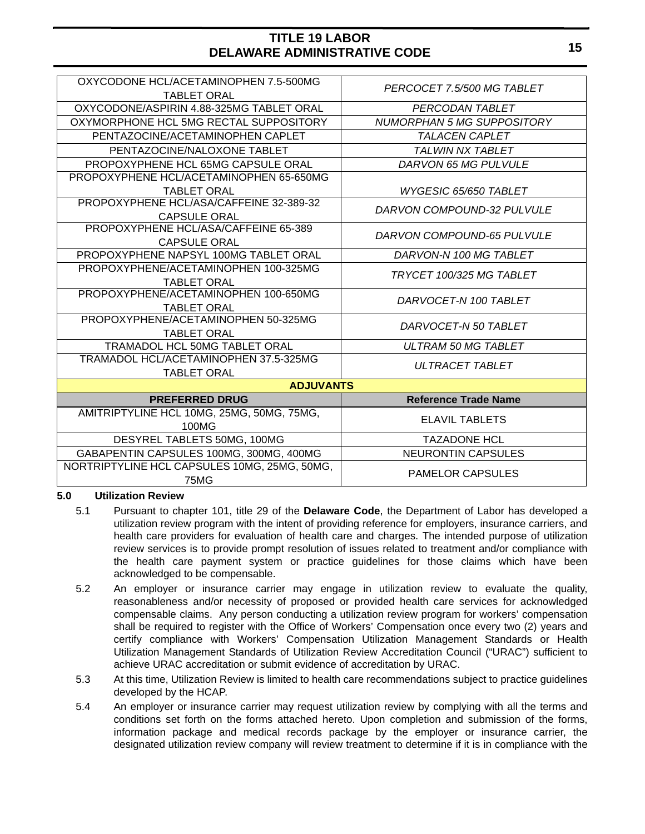| OXYCODONE HCL/ACETAMINOPHEN 7.5-500MG<br><b>TABLET ORAL</b> | PERCOCET 7.5/500 MG TABLET        |  |  |  |  |
|-------------------------------------------------------------|-----------------------------------|--|--|--|--|
| OXYCODONE/ASPIRIN 4.88-325MG TABLET ORAL                    | PERCODAN TABLET                   |  |  |  |  |
| OXYMORPHONE HCL 5MG RECTAL SUPPOSITORY                      | <b>NUMORPHAN 5 MG SUPPOSITORY</b> |  |  |  |  |
| PENTAZOCINE/ACETAMINOPHEN CAPLET                            | <b>TALACEN CAPLET</b>             |  |  |  |  |
| PENTAZOCINE/NALOXONE TABLET                                 | <b>TALWIN NX TABLET</b>           |  |  |  |  |
| PROPOXYPHENE HCL 65MG CAPSULE ORAL                          | DARVON 65 MG PULVULE              |  |  |  |  |
| PROPOXYPHENE HCL/ACETAMINOPHEN 65-650MG                     |                                   |  |  |  |  |
| <b>TABLET ORAL</b>                                          | WYGESIC 65/650 TABLET             |  |  |  |  |
| PROPOXYPHENE HCL/ASA/CAFFEINE 32-389-32                     | DARVON COMPOUND-32 PULVULE        |  |  |  |  |
| <b>CAPSULE ORAL</b>                                         |                                   |  |  |  |  |
| PROPOXYPHENE HCL/ASA/CAFFEINE 65-389                        | DARVON COMPOUND-65 PULVULE        |  |  |  |  |
| <b>CAPSULE ORAL</b>                                         |                                   |  |  |  |  |
| PROPOXYPHENE NAPSYL 100MG TABLET ORAL                       | DARVON-N 100 MG TABLET            |  |  |  |  |
| PROPOXYPHENE/ACETAMINOPHEN 100-325MG<br><b>TABLET ORAL</b>  | TRYCET 100/325 MG TABLET          |  |  |  |  |
| PROPOXYPHENE/ACETAMINOPHEN 100-650MG                        |                                   |  |  |  |  |
| <b>TABLET ORAL</b>                                          | DARVOCET-N 100 TABLET             |  |  |  |  |
| PROPOXYPHENE/ACETAMINOPHEN 50-325MG                         | DARVOCET-N 50 TABLET              |  |  |  |  |
| <b>TABLET ORAL</b>                                          |                                   |  |  |  |  |
| TRAMADOL HCL 50MG TABLET ORAL                               | <b>ULTRAM 50 MG TABLET</b>        |  |  |  |  |
| TRAMADOL HCL/ACETAMINOPHEN 37.5-325MG                       | <b>ULTRACET TABLET</b>            |  |  |  |  |
| <b>TABLET ORAL</b>                                          |                                   |  |  |  |  |
| <b>ADJUVANTS</b>                                            |                                   |  |  |  |  |
| <b>PREFERRED DRUG</b>                                       | <b>Reference Trade Name</b>       |  |  |  |  |
| AMITRIPTYLINE HCL 10MG, 25MG, 50MG, 75MG,                   | <b>ELAVIL TABLETS</b>             |  |  |  |  |
| 100MG                                                       |                                   |  |  |  |  |
| DESYREL TABLETS 50MG, 100MG                                 | <b>TAZADONE HCL</b>               |  |  |  |  |
| GABAPENTIN CAPSULES 100MG, 300MG, 400MG                     | <b>NEURONTIN CAPSULES</b>         |  |  |  |  |
| NORTRIPTYLINE HCL CAPSULES 10MG, 25MG, 50MG,                | <b>PAMELOR CAPSULES</b>           |  |  |  |  |
| 75MG                                                        |                                   |  |  |  |  |

#### **5.0 Utilization Review**

- 5.1 Pursuant to chapter 101, title 29 of the **Delaware Code**, the Department of Labor has developed a utilization review program with the intent of providing reference for employers, insurance carriers, and health care providers for evaluation of health care and charges. The intended purpose of utilization review services is to provide prompt resolution of issues related to treatment and/or compliance with the health care payment system or practice guidelines for those claims which have been acknowledged to be compensable.
- 5.2 An employer or insurance carrier may engage in utilization review to evaluate the quality, reasonableness and/or necessity of proposed or provided health care services for acknowledged compensable claims. Any person conducting a utilization review program for workers' compensation shall be required to register with the Office of Workers' Compensation once every two (2) years and certify compliance with Workers' Compensation Utilization Management Standards or Health Utilization Management Standards of Utilization Review Accreditation Council ("URAC") sufficient to achieve URAC accreditation or submit evidence of accreditation by URAC.
- 5.3 At this time, Utilization Review is limited to health care recommendations subject to practice guidelines developed by the HCAP.
- 5.4 An employer or insurance carrier may request utilization review by complying with all the terms and conditions set forth on the forms attached hereto. Upon completion and submission of the forms, information package and medical records package by the employer or insurance carrier, the designated utilization review company will review treatment to determine if it is in compliance with the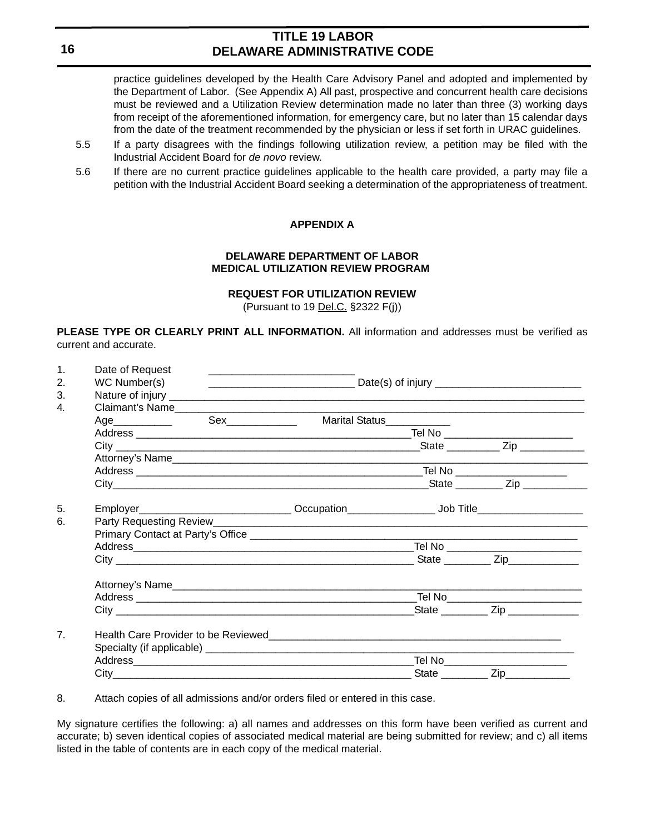practice guidelines developed by the Health Care Advisory Panel and adopted and implemented by the Department of Labor. (See Appendix A) All past, prospective and concurrent health care decisions must be reviewed and a Utilization Review determination made no later than three (3) working days from receipt of the aforementioned information, for emergency care, but no later than 15 calendar days from the date of the treatment recommended by the physician or less if set forth in URAC guidelines.

- 5.5 If a party disagrees with the findings following utilization review, a petition may be filed with the Industrial Accident Board for *de novo* review.
- 5.6 If there are no current practice guidelines applicable to the health care provided, a party may file a petition with the Industrial Accident Board seeking a determination of the appropriateness of treatment.

#### **APPENDIX A**

#### **DELAWARE DEPARTMENT OF LABOR MEDICAL UTILIZATION REVIEW PROGRAM**

#### **REQUEST FOR UTILIZATION REVIEW**

(Pursuant to 19 Del.C. §2322 F(j))

**PLEASE TYPE OR CLEARLY PRINT ALL INFORMATION.** All information and addresses must be verified as current and accurate.

| $\mathbf{1}$ .<br>2. | Date of Request                                                                   |                            |  |                           |  |  |
|----------------------|-----------------------------------------------------------------------------------|----------------------------|--|---------------------------|--|--|
| 3.                   | WC Number(s)                                                                      |                            |  |                           |  |  |
| 4.                   |                                                                                   |                            |  |                           |  |  |
|                      |                                                                                   | Marital Status____________ |  |                           |  |  |
|                      |                                                                                   |                            |  |                           |  |  |
|                      |                                                                                   |                            |  |                           |  |  |
|                      |                                                                                   |                            |  |                           |  |  |
|                      |                                                                                   |                            |  |                           |  |  |
|                      |                                                                                   |                            |  |                           |  |  |
|                      |                                                                                   |                            |  |                           |  |  |
| 5.                   | Employer________________________________Occupation_______________________________ |                            |  |                           |  |  |
| 6.                   |                                                                                   |                            |  |                           |  |  |
|                      |                                                                                   |                            |  |                           |  |  |
|                      |                                                                                   |                            |  |                           |  |  |
|                      |                                                                                   |                            |  |                           |  |  |
|                      |                                                                                   |                            |  |                           |  |  |
|                      |                                                                                   |                            |  |                           |  |  |
|                      |                                                                                   |                            |  | State <u>Contract Zip</u> |  |  |
| 7 <sub>1</sub>       |                                                                                   |                            |  |                           |  |  |
|                      |                                                                                   |                            |  |                           |  |  |
|                      |                                                                                   |                            |  |                           |  |  |
|                      |                                                                                   |                            |  |                           |  |  |

8. Attach copies of all admissions and/or orders filed or entered in this case.

My signature certifies the following: a) all names and addresses on this form have been verified as current and accurate; b) seven identical copies of associated medical material are being submitted for review; and c) all items listed in the table of contents are in each copy of the medical material.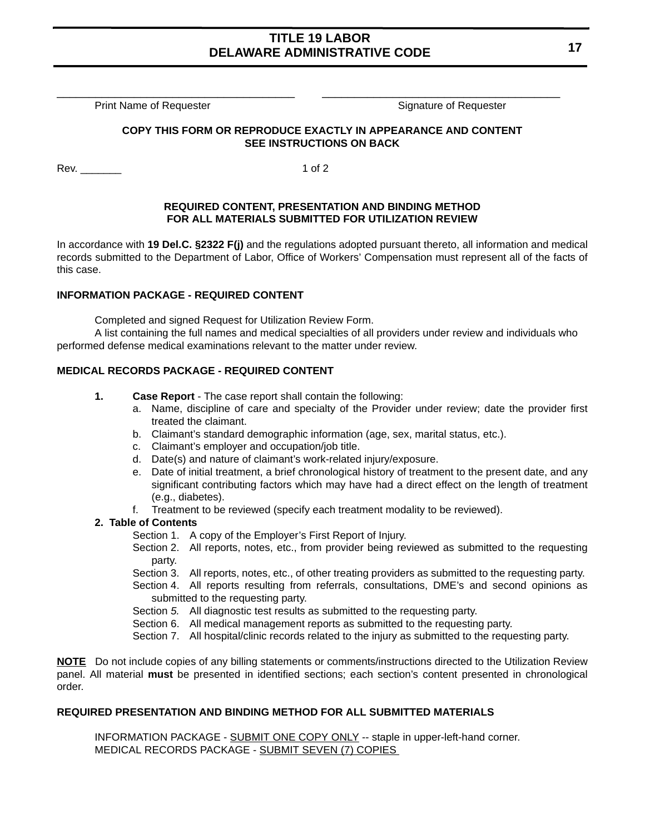\_\_\_\_\_\_\_\_\_\_\_\_\_\_\_\_\_\_\_\_\_\_\_\_\_\_\_\_\_\_\_\_\_\_\_\_\_ \_\_\_\_\_\_\_\_\_\_\_\_\_\_\_\_\_\_\_\_\_\_\_\_\_\_\_\_\_\_\_\_\_\_\_\_\_

Print Name of Requester Signature of Requester Signature of Requester

#### **COPY THIS FORM OR REPRODUCE EXACTLY IN APPEARANCE AND CONTENT SEE INSTRUCTIONS ON BACK**

Rev. 1 of 2

#### **REQUIRED CONTENT, PRESENTATION AND BINDING METHOD FOR ALL MATERIALS SUBMITTED FOR UTILIZATION REVIEW**

In accordance with **19 Del.C. §2322 F(j)** and the regulations adopted pursuant thereto, all information and medical records submitted to the Department of Labor, Office of Workers' Compensation must represent all of the facts of this case.

#### **INFORMATION PACKAGE - REQUIRED CONTENT**

Completed and signed Request for Utilization Review Form.

A list containing the full names and medical specialties of all providers under review and individuals who performed defense medical examinations relevant to the matter under review.

#### **MEDICAL RECORDS PACKAGE - REQUIRED CONTENT**

- **1. Case Report** The case report shall contain the following:
	- a. Name, discipline of care and specialty of the Provider under review; date the provider first treated the claimant.
	- b. Claimant's standard demographic information (age, sex, marital status, etc.).
	- c. Claimant's employer and occupation/job title.
	- d. Date(s) and nature of claimant's work-related injury/exposure.
	- e. Date of initial treatment, a brief chronological history of treatment to the present date, and any significant contributing factors which may have had a direct effect on the length of treatment (e.g., diabetes).
	- f. Treatment to be reviewed (specify each treatment modality to be reviewed).

#### **2. Table of Contents**

- Section 1. A copy of the Employer's First Report of Injury.
- Section 2. All reports, notes, etc., from provider being reviewed as submitted to the requesting party.
- Section 3. All reports, notes, etc., of other treating providers as submitted to the requesting party.
- Section 4. All reports resulting from referrals, consultations, DME's and second opinions as submitted to the requesting party.
- Section *5.* All diagnostic test results as submitted to the requesting party.
- Section 6. All medical management reports as submitted to the requesting party.
- Section 7. All hospital/clinic records related to the injury as submitted to the requesting party.

**NOTE** Do not include copies of any billing statements or comments/instructions directed to the Utilization Review panel. All material **must** be presented in identified sections; each section's content presented in chronological order.

#### **REQUIRED PRESENTATION AND BINDING METHOD FOR ALL SUBMITTED MATERIALS**

INFORMATION PACKAGE - SUBMIT ONE COPY ONLY -- staple in upper-left-hand corner. MEDICAL RECORDS PACKAGE - SUBMIT SEVEN (7) COPIES